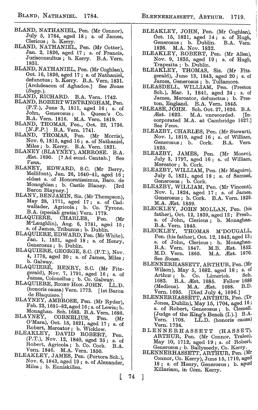- BLAND, NATHANIEL, Pen. (Mr Connor), July 5, 1784, aged 18; s. of James, Clericus ; b. Kerry.
- BLAND, NATHANIEL, Pen. (Mr Cotter), Jan. 2, 1826, aged 17 ; *s.* of Francis, Juriseonsultus ; b. Kerry. B.A. Vern. 1831.
- BLAND, NATHANIEL, Pen. (Mr Coghlan), Oct. 16, 1826, aged 17 ; s. of Nathaniel, defunctus; b. Kerry. B.A. Vern. 1831. [Archdeacon of Aghadoe.] See *Boose (Supp.).*
- BLAND, RICHARD. B.A. Vern. 1742.
- BLAND, ROBERT WINTRINGHAM, Pen. (P.T.), June 3, 1811, aged 16; s. of John, Generosus; b. Queen's Co. B.A. Vern. 1816. M.A. Vern. 1819.
- BLAND, THOMAS, Pen., Oct. 22, 1736. *[N.F.P.]* B.A. Vern. 1741.
- BLAND, THOMAS, Pen. (Mr Morris), Nov. 6, 1815, aged 16 ; s. of Nathaniel, Miles ; b. Kerry. B.A. Vern. 1821.
- BLANEY (BLAYNEY), AMBROSE. B.A. Atst. 1690. [? Ad eund. Cantab.] See *Venn.*<br>BLANEY,
- BLANEY, EDWARD, S.C. (Mr Berry, Mellifont), Jan. 26, 1640-41, aged  $16$ ; eldest s. of Honoratissimus, Baro. de Monoghlan; b. Castle Blaney. [3rd Baron Blayney.]
- BLANY, BENJAMIN, Siz. (Mr Thompson),  $\text{May } 28, 1771, \text{ aged } 17; \text{ s. of } \text{Cad}$ wallader, Agricola; b. Co. Tyrone. B.A. (speciali gratia) Vern. 1779.<br>BLAQUIERE, CHARLES, Pen.
- BLAQUIERE, CHARLES, Pen. (Mr  $M'$ Laughlin), Aug. 6, 1781, aged 15; s. of James, Tribunus; b. Dublin.
- BLAQUIERE, EDWARD, Pen. (Mr White), Jan. 1, 1821, aged 18 ; s. of Henry, Generosus ; b. Dublin.
- BLAQUIERE, GEORGE, S.C. (P.T.), Nov. 4, 1778, aged 20 ; s. of James, Miles; b. Galway.
- BLAQUIERE, HENRY, S.C. (Mr Fitzgerald), Nov. 7, 1791, aged 16 ; s. of James, Colonellus ; b. Co. Galway.
- BLAQUIERE, RIGHT HON. JOHN. LL.D. (honoris causa) Vern. 1773. [1st Baron de Blaquiere.]
- BLAYNEY, AMBROSE. Pen. (Mr Ryder), Feb. 23, 1681-82, aged  $16$ ; s. of Lewis; b.
- Monaghan. Sch. 1683. B.A. Vern. 1686.<br>BLAYNEY, CORNELIUS. Pen (Mr. CORNELIUS, Pen. (Mr. O'Mara), Oct. 15, 1821, aged 17 ; s. of
- Robert, Mercator ; b. Wicklow. BLEAKLEY, DAVID ROBERT, Pen.
- (P.T.), Nov. 12, 1840, aged 35; s. of Robert, Agricola; b. Co. Cork. B.A. Vern. 1846. M.A. Vern. 1850.
- BLEAKLEY, JAMES, Pen. (Portora Sch.), Nov. 6, 1843, aged 19 ; s. of Alexander, Miles ; b. Enniskillen.
- BLEAKLEY, JOHN, Pen. (Mr Coghlan), Oct. 15, 1821, aged 14; s. of Hugh,<br>Generosus; b. Dublin. B.A. Vern. Generosus; b. Dublin. 1826. M.A. Nov. 1832.
- BLEAKLEY, ROBERT, Pen. (Mr Allen), Nov. 9, 1835, aged 19 ; s. of Hugh, Trapezita ; • b. Dublin.
- BLEAKLEY, THOMAS, Siz. (Mr Fitzgerald), June 13, 1843, aged  $20$  ; s. of James, Generosus ; b. Tullamore.
- BLEASDELL, WILLIAM, Pen. (Preston Sch.), Mar. 1, 1841, aged 24; s. of James, Mercator, defunctus; b. Preston, England. B.A. Vern. 1845.
- \*BLEASE, JOHN. Sch. Oct. 27,1626. B.A. M.A. unrecorded. [Incorporated M.A. at Cambridge 1627.] See *Venn.*
- BLEAZBY, CHARLES, Pen. (Mr Stewart), Nov. 1, 1819, aged 16 ; s. of William, Generosus; b. 1825.
- BLEAZBY, JAMES, Pen. (Mr Monro), July 3, 1797, aged 16 ; s. of William, Mercator ; b. Cork.
- BLEAZBY, WILLIAM, Pen. (Mr Maguire), July 5, 1821, aged 18 ; s. of Samuel, Generosus ; b. Cork.
- BLEAZBY, WILLIAM, Pen. (Mr Vincent), Nov. 1, 1824, aged 17 ; s. of James, Generosus ; b. Cork. B.A. Vern. 1829. M.A. Æst. 1859.
- BLECKLEY, JOHN MOLLAN, Pen. (his father), Oct. 12, 1839, aged 12;' Presb., s. of John, Clericus; b. Monaghan. B.A. Vern. 1845.<br>CKLEY, THOMAS
- BLECKLEY, THOMAS M'DOUGALL, Pen. (his father), Oct. 12, 1842, aged 13; s. of John, Clerious; b. Monaghan. B.A. Vern. 1847. M.B. Æst. 1852. M.D. Vern. 1865. M.A. Æst. 1870. See *Boase.*
- BLENNERHASSETT, ARTHUR, Pen. (Mr Wilson), May 5, 1682, aged 18; s. of Arthur; b. Co. Limerick. Sch. Arthur; b. Co. Limerick. Sch.<br>1683. B.A. Æst. 1685. Fellow 1688 1683. B.A. Æst. 1685. Fellow 1688.<br>(Medicus). M.A. Æst. 1688. B.D.  $(M$ edicus). M.A. Æst. 1688. B.D. Vern. 1695. [Died July 4, 1696.]
- BLENNERHASSETT, ARTHUR, Pen. (Dr Jones, Dublin), May 15, 1704, aged 16; s. of Robert, Generosus ; b. Clemell [Judge of the King's Bench (I.)] B.A. LL.D. (honoris causa) Vern. 1708.<br>Vern. 1734.
- BLENNERHASSETT (HASSET), ARTHUR, Pen. (Mr Connor, Tralee), May 10, 1712, aged 19 ; s. of Robert, Generosus ;• b. Ballyseedy, Co. Kerry.
- BLENNERHASSETT, ARTHUR, Pen. (Mr Connor, Co. Kerry), June 15, 1719, aged 18 ; s. of Henry, Generosus ; b. apud Killariam, in Com. Kerry.

1

ſ.

<sup>74</sup>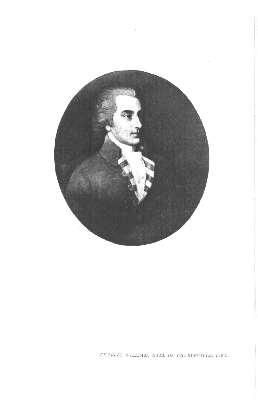

*CHAIU.ES WILLIAM, EARL OF CHARLEVILLE, F.R.S.*